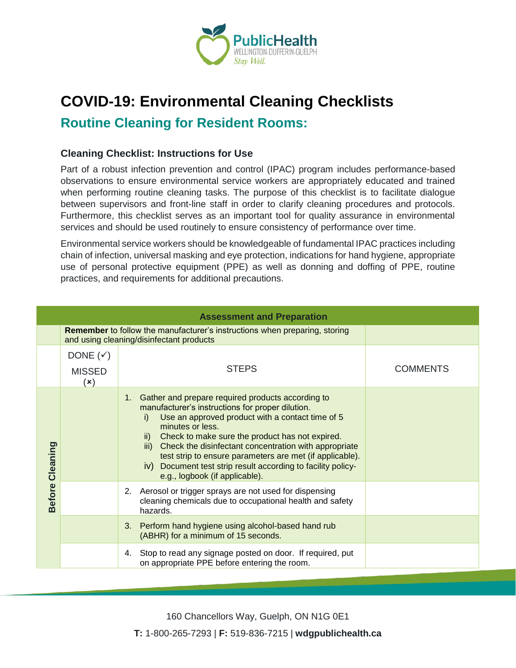

## **COVID-19: Environmental Cleaning Checklists**

**Routine Cleaning for Resident Rooms:**

## **Cleaning Checklist: Instructions for Use**

Part of a robust infection prevention and control (IPAC) program includes performance-based observations to ensure environmental service workers are appropriately educated and trained when performing routine cleaning tasks. The purpose of this checklist is to facilitate dialogue between supervisors and front-line staff in order to clarify cleaning procedures and protocols. Furthermore, this checklist serves as an important tool for quality assurance in environmental services and should be used routinely to ensure consistency of performance over time.

Environmental service workers should be knowledgeable of fundamental IPAC practices including chain of infection, universal masking and eye protection, indications for hand hygiene, appropriate use of personal protective equipment (PPE) as well as donning and doffing of PPE, routine practices, and requirements for additional precautions.

|                        |                                                                     | <b>Assessment and Preparation</b>                                                                                                                                                                                                                                                                                                                                                                                                                                         |                 |
|------------------------|---------------------------------------------------------------------|---------------------------------------------------------------------------------------------------------------------------------------------------------------------------------------------------------------------------------------------------------------------------------------------------------------------------------------------------------------------------------------------------------------------------------------------------------------------------|-----------------|
|                        |                                                                     | <b>Remember</b> to follow the manufacturer's instructions when preparing, storing<br>and using cleaning/disinfectant products                                                                                                                                                                                                                                                                                                                                             |                 |
|                        | DONE $(\checkmark)$<br><b>MISSED</b><br>$(\boldsymbol{\mathsf{x}})$ | <b>STEPS</b>                                                                                                                                                                                                                                                                                                                                                                                                                                                              | <b>COMMENTS</b> |
| <b>Before Cleaning</b> |                                                                     | 1. Gather and prepare required products according to<br>manufacturer's instructions for proper dilution.<br>Use an approved product with a contact time of 5<br>i)<br>minutes or less.<br>ii) Check to make sure the product has not expired.<br>iii) Check the disinfectant concentration with appropriate<br>test strip to ensure parameters are met (if applicable).<br>iv) Document test strip result according to facility policy-<br>e.g., logbook (if applicable). |                 |
|                        |                                                                     | 2. Aerosol or trigger sprays are not used for dispensing<br>cleaning chemicals due to occupational health and safety<br>hazards.                                                                                                                                                                                                                                                                                                                                          |                 |
|                        |                                                                     | 3. Perform hand hygiene using alcohol-based hand rub<br>(ABHR) for a minimum of 15 seconds.                                                                                                                                                                                                                                                                                                                                                                               |                 |
|                        |                                                                     | 4. Stop to read any signage posted on door. If required, put<br>on appropriate PPE before entering the room.                                                                                                                                                                                                                                                                                                                                                              |                 |

160 Chancellors Way, Guelph, ON N1G 0E1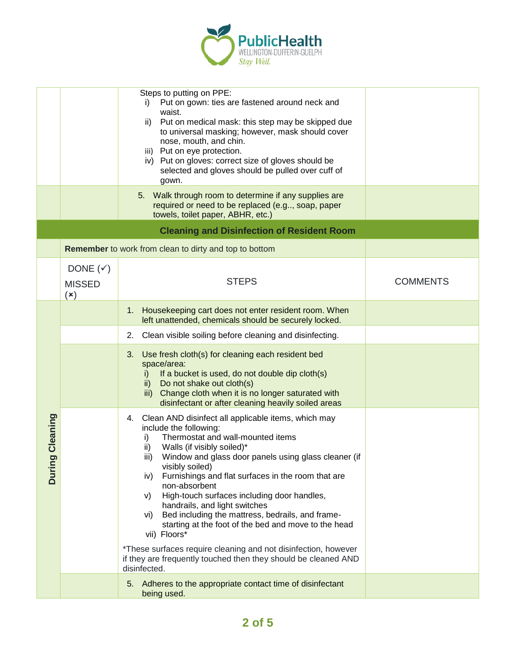

|                                      |                                             | Steps to putting on PPE:<br>Put on gown: ties are fastened around neck and<br>i)<br>waist.<br>Put on medical mask: this step may be skipped due<br>ii)<br>to universal masking; however, mask should cover<br>nose, mouth, and chin.<br>iii) Put on eye protection.<br>iv) Put on gloves: correct size of gloves should be<br>selected and gloves should be pulled over cuff of<br>gown.<br>5. Walk through room to determine if any supplies are                                                                                                                                                                                                                                                              |                 |
|--------------------------------------|---------------------------------------------|----------------------------------------------------------------------------------------------------------------------------------------------------------------------------------------------------------------------------------------------------------------------------------------------------------------------------------------------------------------------------------------------------------------------------------------------------------------------------------------------------------------------------------------------------------------------------------------------------------------------------------------------------------------------------------------------------------------|-----------------|
|                                      |                                             | required or need to be replaced (e.g, soap, paper<br>towels, toilet paper, ABHR, etc.)                                                                                                                                                                                                                                                                                                                                                                                                                                                                                                                                                                                                                         |                 |
|                                      |                                             | <b>Cleaning and Disinfection of Resident Room</b>                                                                                                                                                                                                                                                                                                                                                                                                                                                                                                                                                                                                                                                              |                 |
|                                      |                                             | Remember to work from clean to dirty and top to bottom                                                                                                                                                                                                                                                                                                                                                                                                                                                                                                                                                                                                                                                         |                 |
|                                      | DONE $(\checkmark)$<br><b>MISSED</b><br>(x) | <b>STEPS</b>                                                                                                                                                                                                                                                                                                                                                                                                                                                                                                                                                                                                                                                                                                   | <b>COMMENTS</b> |
|                                      |                                             | Housekeeping cart does not enter resident room. When<br>1.<br>left unattended, chemicals should be securely locked.                                                                                                                                                                                                                                                                                                                                                                                                                                                                                                                                                                                            |                 |
|                                      |                                             | Clean visible soiling before cleaning and disinfecting.<br>2.                                                                                                                                                                                                                                                                                                                                                                                                                                                                                                                                                                                                                                                  |                 |
| Cleaning<br>$\sigma$<br><b>Durin</b> |                                             | Use fresh cloth(s) for cleaning each resident bed<br>3.<br>space/area:<br>If a bucket is used, do not double dip cloth(s)<br>i)<br>Do not shake out cloth(s)<br>ii)<br>iii) Change cloth when it is no longer saturated with<br>disinfectant or after cleaning heavily soiled areas                                                                                                                                                                                                                                                                                                                                                                                                                            |                 |
|                                      |                                             | 4. Clean AND disinfect all applicable items, which may<br>include the following:<br>Thermostat and wall-mounted items<br>i)<br>Walls (if visibly soiled)*<br>ii)<br>Window and glass door panels using glass cleaner (if<br>iii)<br>visibly soiled)<br>Furnishings and flat surfaces in the room that are<br>iv)<br>non-absorbent<br>High-touch surfaces including door handles,<br>V)<br>handrails, and light switches<br>Bed including the mattress, bedrails, and frame-<br>vi)<br>starting at the foot of the bed and move to the head<br>vii) Floors*<br>*These surfaces require cleaning and not disinfection, however<br>if they are frequently touched then they should be cleaned AND<br>disinfected. |                 |
|                                      |                                             | 5. Adheres to the appropriate contact time of disinfectant<br>being used.                                                                                                                                                                                                                                                                                                                                                                                                                                                                                                                                                                                                                                      |                 |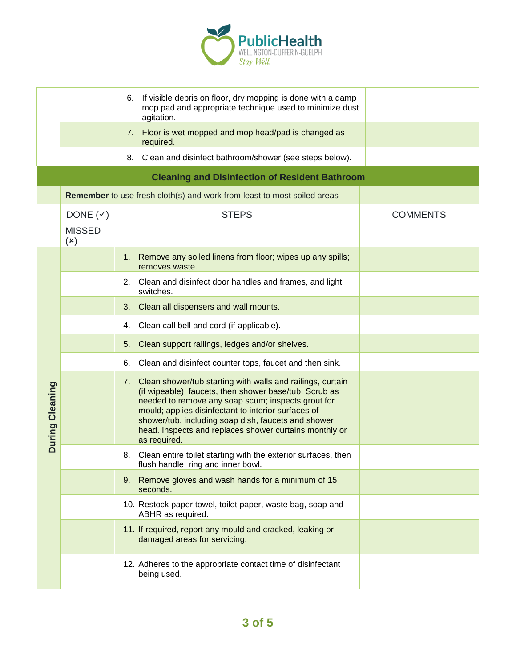

|                 |                                                        | If visible debris on floor, dry mopping is done with a damp<br>6.<br>mop pad and appropriate technique used to minimize dust<br>agitation.                                                                                                                                                                                                                            |                 |
|-----------------|--------------------------------------------------------|-----------------------------------------------------------------------------------------------------------------------------------------------------------------------------------------------------------------------------------------------------------------------------------------------------------------------------------------------------------------------|-----------------|
|                 |                                                        | 7. Floor is wet mopped and mop head/pad is changed as<br>required.                                                                                                                                                                                                                                                                                                    |                 |
|                 |                                                        | Clean and disinfect bathroom/shower (see steps below).<br>8.                                                                                                                                                                                                                                                                                                          |                 |
|                 |                                                        | <b>Cleaning and Disinfection of Resident Bathroom</b>                                                                                                                                                                                                                                                                                                                 |                 |
|                 |                                                        | Remember to use fresh cloth(s) and work from least to most soiled areas                                                                                                                                                                                                                                                                                               |                 |
|                 | DONE $(\checkmark)$<br><b>MISSED</b><br>$(\mathsf{x})$ | <b>STEPS</b>                                                                                                                                                                                                                                                                                                                                                          | <b>COMMENTS</b> |
|                 |                                                        | Remove any soiled linens from floor; wipes up any spills;<br>1.<br>removes waste.                                                                                                                                                                                                                                                                                     |                 |
|                 |                                                        | 2. Clean and disinfect door handles and frames, and light<br>switches.                                                                                                                                                                                                                                                                                                |                 |
|                 |                                                        | Clean all dispensers and wall mounts.<br>3.                                                                                                                                                                                                                                                                                                                           |                 |
|                 |                                                        | 4. Clean call bell and cord (if applicable).                                                                                                                                                                                                                                                                                                                          |                 |
|                 |                                                        | Clean support railings, ledges and/or shelves.<br>5.                                                                                                                                                                                                                                                                                                                  |                 |
| During Cleaning |                                                        | Clean and disinfect counter tops, faucet and then sink.<br>6.                                                                                                                                                                                                                                                                                                         |                 |
|                 |                                                        | 7. Clean shower/tub starting with walls and railings, curtain<br>(if wipeable), faucets, then shower base/tub. Scrub as<br>needed to remove any soap scum; inspects grout for<br>mould; applies disinfectant to interior surfaces of<br>shower/tub, including soap dish, faucets and shower<br>head. Inspects and replaces shower curtains monthly or<br>as required. |                 |
|                 |                                                        | Clean entire toilet starting with the exterior surfaces, then<br>8.<br>flush handle, ring and inner bowl.                                                                                                                                                                                                                                                             |                 |
|                 |                                                        | 9. Remove gloves and wash hands for a minimum of 15<br>seconds.                                                                                                                                                                                                                                                                                                       |                 |
|                 |                                                        | 10. Restock paper towel, toilet paper, waste bag, soap and<br>ABHR as required.                                                                                                                                                                                                                                                                                       |                 |
|                 |                                                        | 11. If required, report any mould and cracked, leaking or<br>damaged areas for servicing.                                                                                                                                                                                                                                                                             |                 |
|                 |                                                        | 12. Adheres to the appropriate contact time of disinfectant<br>being used.                                                                                                                                                                                                                                                                                            |                 |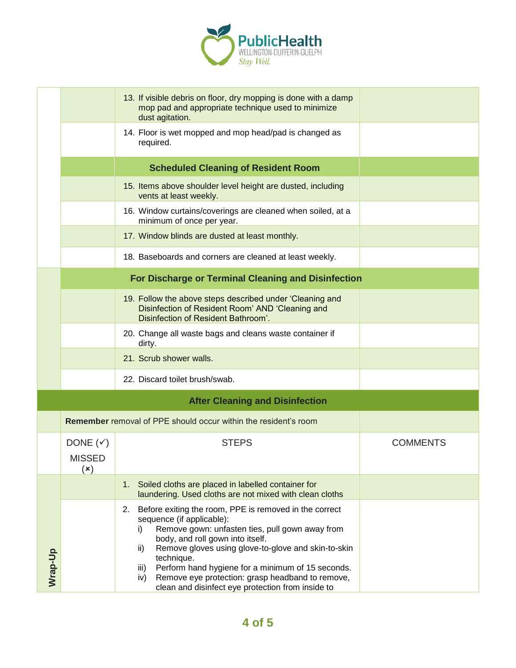

|         |                                                                     | 13. If visible debris on floor, dry mopping is done with a damp<br>mop pad and appropriate technique used to minimize<br>dust agitation.                                                                                                                                                                                                                                                                                                        |                 |
|---------|---------------------------------------------------------------------|-------------------------------------------------------------------------------------------------------------------------------------------------------------------------------------------------------------------------------------------------------------------------------------------------------------------------------------------------------------------------------------------------------------------------------------------------|-----------------|
|         |                                                                     | 14. Floor is wet mopped and mop head/pad is changed as<br>required.                                                                                                                                                                                                                                                                                                                                                                             |                 |
|         |                                                                     | <b>Scheduled Cleaning of Resident Room</b>                                                                                                                                                                                                                                                                                                                                                                                                      |                 |
|         |                                                                     | 15. Items above shoulder level height are dusted, including<br>vents at least weekly.                                                                                                                                                                                                                                                                                                                                                           |                 |
|         |                                                                     | 16. Window curtains/coverings are cleaned when soiled, at a<br>minimum of once per year.                                                                                                                                                                                                                                                                                                                                                        |                 |
|         |                                                                     | 17. Window blinds are dusted at least monthly.                                                                                                                                                                                                                                                                                                                                                                                                  |                 |
|         |                                                                     | 18. Baseboards and corners are cleaned at least weekly.                                                                                                                                                                                                                                                                                                                                                                                         |                 |
|         |                                                                     | For Discharge or Terminal Cleaning and Disinfection                                                                                                                                                                                                                                                                                                                                                                                             |                 |
|         |                                                                     | 19. Follow the above steps described under 'Cleaning and<br>Disinfection of Resident Room' AND 'Cleaning and<br>Disinfection of Resident Bathroom'.                                                                                                                                                                                                                                                                                             |                 |
|         |                                                                     | 20. Change all waste bags and cleans waste container if<br>dirty.                                                                                                                                                                                                                                                                                                                                                                               |                 |
|         |                                                                     | 21. Scrub shower walls.                                                                                                                                                                                                                                                                                                                                                                                                                         |                 |
|         |                                                                     | 22. Discard toilet brush/swab.                                                                                                                                                                                                                                                                                                                                                                                                                  |                 |
|         |                                                                     | <b>After Cleaning and Disinfection</b>                                                                                                                                                                                                                                                                                                                                                                                                          |                 |
|         |                                                                     | <b>Remember</b> removal of PPE should occur within the resident's room                                                                                                                                                                                                                                                                                                                                                                          |                 |
|         | DONE $(\checkmark)$<br><b>MISSED</b><br>$(\boldsymbol{\mathsf{x}})$ | <b>STEPS</b>                                                                                                                                                                                                                                                                                                                                                                                                                                    | <b>COMMENTS</b> |
|         |                                                                     | Soiled cloths are placed in labelled container for<br>1 <sub>1</sub><br>laundering. Used cloths are not mixed with clean cloths                                                                                                                                                                                                                                                                                                                 |                 |
| Wrap-Up |                                                                     | Before exiting the room, PPE is removed in the correct<br>2.<br>sequence (if applicable):<br>Remove gown: unfasten ties, pull gown away from<br>i)<br>body, and roll gown into itself.<br>Remove gloves using glove-to-glove and skin-to-skin<br>ii)<br>technique.<br>Perform hand hygiene for a minimum of 15 seconds.<br>iii)<br>Remove eye protection: grasp headband to remove,<br>iv)<br>clean and disinfect eye protection from inside to |                 |